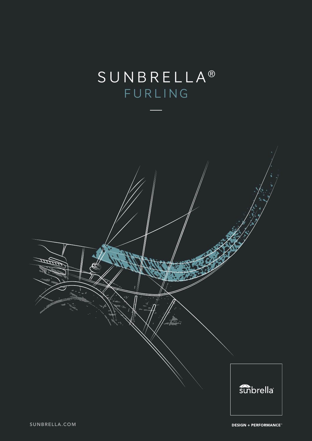# SUNBRELLA<sup>®</sup> FURLING

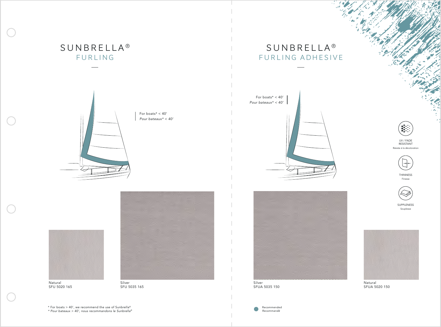Natural SFU 5020 165



Natural SFUA 5020 150

Silver SFUA 5035 150

 $\bullet$ 

## **SUNBRELLA<sup>®</sup>** FURLING ADHESIVE

## SUNBRELLA<sup>®</sup> FURLING









Silver SFU 5035 165

For boats\* < 40' *Pour bateaux\* < 40'*



UV / FADE RESISTANT Résiste à la décoloration



THINNESS Finesse



SUPPLENESS Souplesse